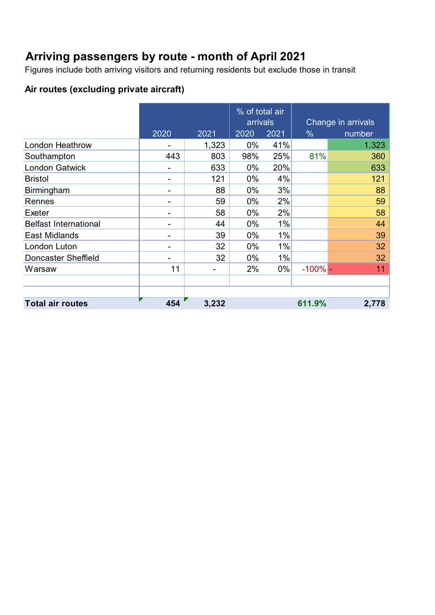### **Arriving passengers by route - month of April 2021**

Figures include both arriving visitors and returning residents but exclude those in transit

### **Air routes (excluding private aircraft)**

|                              |      |       | % of total air<br>arrivals |       |               | Change in arrivals |
|------------------------------|------|-------|----------------------------|-------|---------------|--------------------|
|                              | 2020 | 2021  | 2020                       | 2021  | $\frac{0}{0}$ | number             |
| <b>London Heathrow</b>       |      | 1,323 | 0%                         | 41%   |               | 1,323              |
| Southampton                  | 443  | 803   | 98%                        | 25%   | 81%           | 360                |
| <b>London Gatwick</b>        |      | 633   | $0\%$                      | 20%   |               | 633                |
| <b>Bristol</b>               |      | 121   | $0\%$                      | 4%    |               | 121                |
| <b>Birmingham</b>            |      | 88    | $0\%$                      | 3%    |               | 88                 |
| Rennes                       |      | 59    | $0\%$                      | 2%    |               | 59                 |
| Exeter                       |      | 58    | $0\%$                      | 2%    |               | 58                 |
| <b>Belfast International</b> |      | 44    | $0\%$                      | 1%    |               | 44                 |
| East Midlands                |      | 39    | $0\%$                      | $1\%$ |               | 39                 |
| London Luton                 |      | 32    | $0\%$                      | 1%    |               | 32                 |
| <b>Doncaster Sheffield</b>   |      | 32    | $0\%$                      | 1%    |               | 32                 |
| Warsaw                       | 11   |       | 2%                         | 0%    | $-100\%$ -    | 11                 |
|                              |      |       |                            |       |               |                    |
|                              |      |       |                            |       |               |                    |
| <b>Total air routes</b>      | 454  | 3,232 |                            |       | 611.9%        | 2,778              |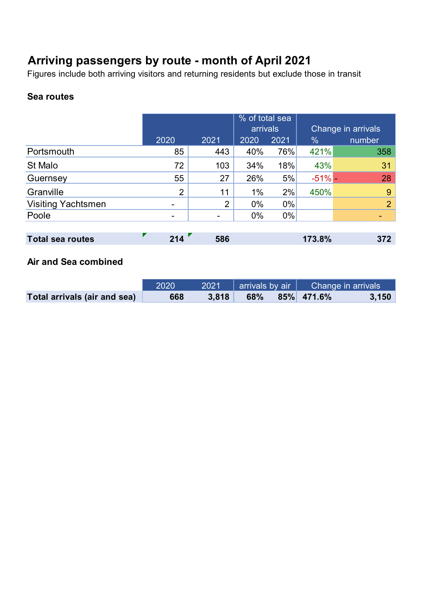### **Arriving passengers by route - month of April 2021**

Figures include both arriving visitors and returning residents but exclude those in transit

#### **Sea routes**

|                           |      |                | % of total sea |       |               |                    |
|---------------------------|------|----------------|----------------|-------|---------------|--------------------|
|                           |      |                | arrivals       |       |               | Change in arrivals |
|                           | 2020 | 2021           | 2020           | 2021  | $\frac{0}{0}$ | number             |
| Portsmouth                | 85   | 443            | 40%            | 76%   | 421%          | 358                |
| St Malo                   | 72   | 103            | 34%            | 18%   | 43%           | 31                 |
| Guernsey                  | 55   | 27             | 26%            | 5%    | $-51%$ -      | 28                 |
| Granville                 | 2    | 11             | $1\%$          | 2%    | 450%          | 9                  |
| <b>Visiting Yachtsmen</b> |      | $\overline{2}$ | $0\%$          | $0\%$ |               | 2 <sup>1</sup>     |
| Poole                     |      |                | $0\%$          | $0\%$ |               |                    |
|                           |      |                |                |       |               |                    |
| <b>Total sea routes</b>   | 214  | 586            |                |       | 173.8%        | 372                |

#### **Air and Sea combined**

|                              | 2020 | 2021  |     | $\parallel$ arrivals by air $\parallel$ $\Box$ Change in arrivals |       |
|------------------------------|------|-------|-----|-------------------------------------------------------------------|-------|
| Total arrivals (air and sea) | 668  | 3.818 | 68% | 85% 471.6%                                                        | 3,150 |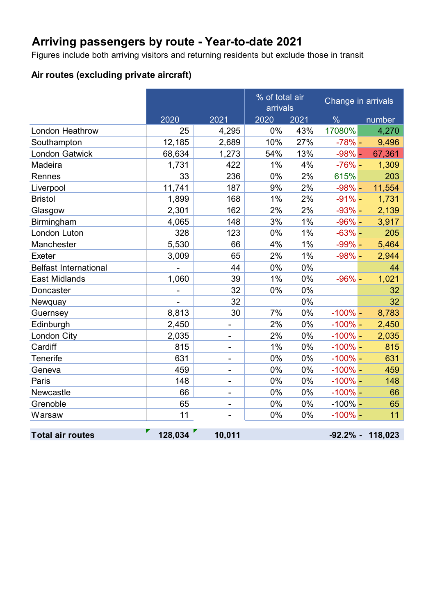# **Arriving passengers by route - Year-to-date 2021**

Figures include both arriving visitors and returning residents but exclude those in transit

#### **Air routes (excluding private aircraft)**

|                              |         |                          |      | % of total air<br>arrivals |               | Change in arrivals  |  |  |
|------------------------------|---------|--------------------------|------|----------------------------|---------------|---------------------|--|--|
|                              | 2020    | 2021                     | 2020 | 2021                       | $\frac{0}{6}$ | number              |  |  |
| <b>London Heathrow</b>       | 25      | 4,295                    | 0%   | 43%                        | 17080%        | 4,270               |  |  |
| Southampton                  | 12,185  | 2,689                    | 10%  | 27%                        | $-78%$ -      | 9,496               |  |  |
| <b>London Gatwick</b>        | 68,634  | 1,273                    | 54%  | 13%                        | $-98%$ -      | 67,361              |  |  |
| Madeira                      | 1,731   | 422                      | 1%   | 4%                         | $-76%$ -      | 1,309               |  |  |
| Rennes                       | 33      | 236                      | 0%   | 2%                         | 615%          | 203                 |  |  |
| Liverpool                    | 11,741  | 187                      | 9%   | 2%                         | $-98% -$      | 11,554              |  |  |
| <b>Bristol</b>               | 1,899   | 168                      | 1%   | 2%                         | $-91% -$      | 1,731               |  |  |
| Glasgow                      | 2,301   | 162                      | 2%   | 2%                         | $-93%$ -      | 2,139               |  |  |
| Birmingham                   | 4,065   | 148                      | 3%   | 1%                         | $-96% -$      | 3,917               |  |  |
| London Luton                 | 328     | 123                      | 0%   | 1%                         | $-63%$ -      | 205                 |  |  |
| Manchester                   | 5,530   | 66                       | 4%   | 1%                         | $-99% -$      | 5,464               |  |  |
| Exeter                       | 3,009   | 65                       | 2%   | 1%                         | $-98% -$      | 2,944               |  |  |
| <b>Belfast International</b> |         | 44                       | 0%   | 0%                         |               | 44                  |  |  |
| <b>East Midlands</b>         | 1,060   | 39                       | 1%   | 0%                         | $-96%$ -      | 1,021               |  |  |
| Doncaster                    |         | 32                       | 0%   | 0%                         |               | 32                  |  |  |
| Newquay                      |         | 32                       |      | 0%                         |               | 32                  |  |  |
| Guernsey                     | 8,813   | 30                       | 7%   | 0%                         | $-100\%$ -    | 8,783               |  |  |
| Edinburgh                    | 2,450   | -                        | 2%   | 0%                         | $-100\%$ -    | 2,450               |  |  |
| London City                  | 2,035   | $\overline{a}$           | 2%   | 0%                         | $-100\%$ -    | 2,035               |  |  |
| Cardiff                      | 815     | -                        | 1%   | 0%                         | $-100\%$ -    | 815                 |  |  |
| <b>Tenerife</b>              | 631     | -                        | 0%   | 0%                         | $-100\%$ -    | 631                 |  |  |
| Geneva                       | 459     | -                        | 0%   | 0%                         | $-100%$ -     | 459                 |  |  |
| Paris                        | 148     | $\overline{\phantom{0}}$ | 0%   | 0%                         | $-100\%$ -    | 148                 |  |  |
| Newcastle                    | 66      |                          | 0%   | 0%                         | $-100\%$ -    | 66                  |  |  |
| Grenoble                     | 65      |                          | 0%   | 0%                         | $-100\%$ -    | 65                  |  |  |
| Warsaw                       | 11      |                          | 0%   | 0%                         | $-100\%$ -    | 11                  |  |  |
| <b>Total air routes</b>      | 128,034 | 10,011                   |      |                            |               | $-92.2\% - 118.023$ |  |  |